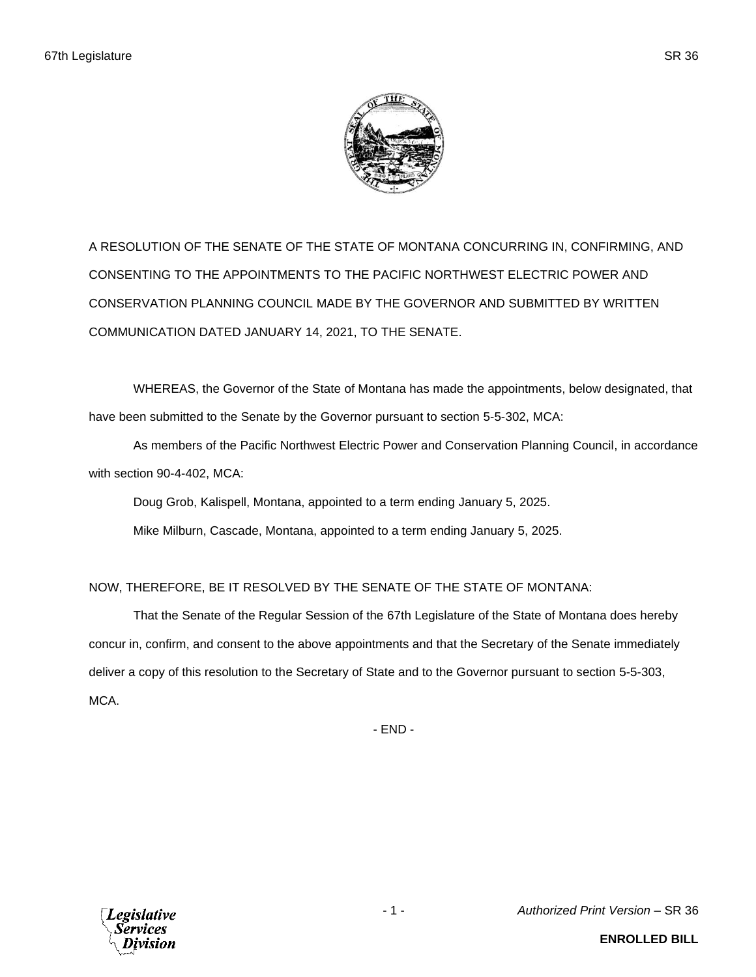A RESOLUTION OF THE SENATE OF THE STATE OF MONTANA CONCURRING IN, CONFIRMING, AND CONSENTING TO THE APPOINTMENTS TO THE PACIFIC NORTHWEST ELECTRIC POWER AND CONSERVATION PLANNING COUNCIL MADE BY THE GOVERNOR AND SUBMITTED BY WRITTEN COMMUNICATION DATED JANUARY 14, 2021, TO THE SENATE.

WHEREAS, the Governor of the State of Montana has made the appointments, below designated, that have been submitted to the Senate by the Governor pursuant to section 5-5-302, MCA:

As members of the Pacific Northwest Electric Power and Conservation Planning Council, in accordance with section 90-4-402, MCA:

Doug Grob, Kalispell, Montana, appointed to a term ending January 5, 2025.

Mike Milburn, Cascade, Montana, appointed to a term ending January 5, 2025.

NOW, THEREFORE, BE IT RESOLVED BY THE SENATE OF THE STATE OF MONTANA:

That the Senate of the Regular Session of the 67th Legislature of the State of Montana does hereby concur in, confirm, and consent to the above appointments and that the Secretary of the Senate immediately deliver a copy of this resolution to the Secretary of State and to the Governor pursuant to section 5-5-303, MCA.

- END -



- 1 - *Authorized Print Version* – SR 36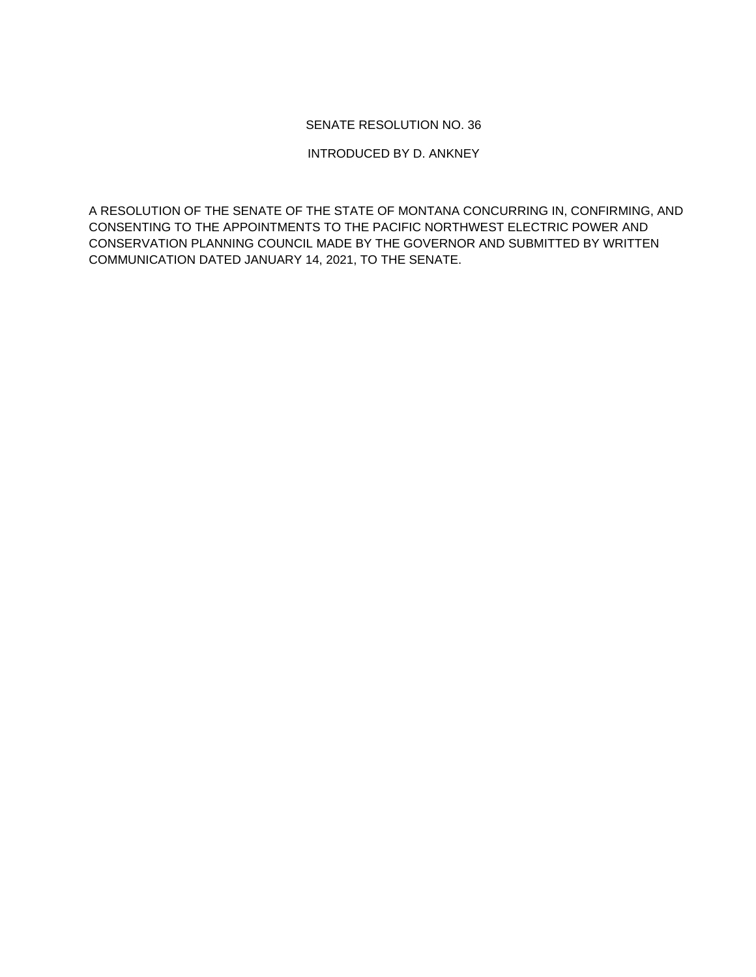## SENATE RESOLUTION NO. 36

## INTRODUCED BY D. ANKNEY

A RESOLUTION OF THE SENATE OF THE STATE OF MONTANA CONCURRING IN, CONFIRMING, AND CONSENTING TO THE APPOINTMENTS TO THE PACIFIC NORTHWEST ELECTRIC POWER AND CONSERVATION PLANNING COUNCIL MADE BY THE GOVERNOR AND SUBMITTED BY WRITTEN COMMUNICATION DATED JANUARY 14, 2021, TO THE SENATE.